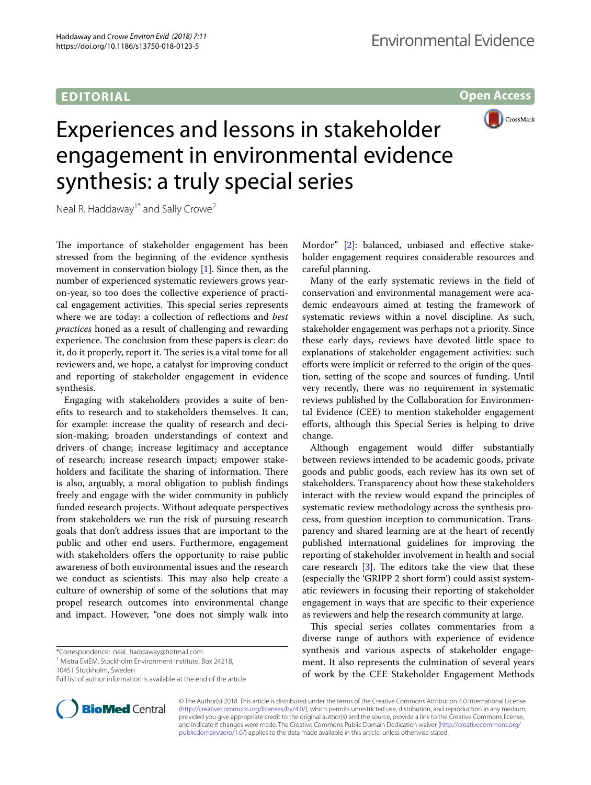## **EDITORIAL**

**Open Access**



# Experiences and lessons in stakeholder engagement in environmental evidence synthesis: a truly special series

Neal R. Haddaway<sup>1\*</sup> and Sally Crowe<sup>2</sup>

The importance of stakeholder engagement has been stressed from the beginning of the evidence synthesis movement in conservation biology [\[1](#page-1-0)]. Since then, as the number of experienced systematic reviewers grows yearon-year, so too does the collective experience of practical engagement activities. This special series represents where we are today: a collection of refections and *best practices* honed as a result of challenging and rewarding experience. The conclusion from these papers is clear: do it, do it properly, report it. The series is a vital tome for all reviewers and, we hope, a catalyst for improving conduct and reporting of stakeholder engagement in evidence synthesis.

Engaging with stakeholders provides a suite of benefts to research and to stakeholders themselves. It can, for example: increase the quality of research and decision-making; broaden understandings of context and drivers of change; increase legitimacy and acceptance of research; increase research impact; empower stakeholders and facilitate the sharing of information. There is also, arguably, a moral obligation to publish fndings freely and engage with the wider community in publicly funded research projects. Without adequate perspectives from stakeholders we run the risk of pursuing research goals that don't address issues that are important to the public and other end users. Furthermore, engagement with stakeholders offers the opportunity to raise public awareness of both environmental issues and the research we conduct as scientists. This may also help create a culture of ownership of some of the solutions that may propel research outcomes into environmental change and impact. However, "one does not simply walk into

\*Correspondence: neal\_haddaway@hotmail.com

10451 Stockholm, Sweden



Many of the early systematic reviews in the feld of conservation and environmental management were academic endeavours aimed at testing the framework of systematic reviews within a novel discipline. As such, stakeholder engagement was perhaps not a priority. Since these early days, reviews have devoted little space to explanations of stakeholder engagement activities: such efforts were implicit or referred to the origin of the question, setting of the scope and sources of funding. Until very recently, there was no requirement in systematic reviews published by the Collaboration for Environmental Evidence (CEE) to mention stakeholder engagement efforts, although this Special Series is helping to drive change.

Although engagement would difer substantially between reviews intended to be academic goods, private goods and public goods, each review has its own set of stakeholders. Transparency about how these stakeholders interact with the review would expand the principles of systematic review methodology across the synthesis process, from question inception to communication. Transparency and shared learning are at the heart of recently published international guidelines for improving the reporting of stakeholder involvement in health and social care research  $[3]$  $[3]$ . The editors take the view that these (especially the 'GRIPP 2 short form') could assist systematic reviewers in focusing their reporting of stakeholder engagement in ways that are specifc to their experience as reviewers and help the research community at large.

This special series collates commentaries from a diverse range of authors with experience of evidence synthesis and various aspects of stakeholder engagement. It also represents the culmination of several years of work by the CEE Stakeholder Engagement Methods



© The Author(s) 2018. This article is distributed under the terms of the Creative Commons Attribution 4.0 International License [\(http://creativecommons.org/licenses/by/4.0/\)](http://creativecommons.org/licenses/by/4.0/), which permits unrestricted use, distribution, and reproduction in any medium, provided you give appropriate credit to the original author(s) and the source, provide a link to the Creative Commons license, and indicate if changes were made. The Creative Commons Public Domain Dedication waiver ([http://creativecommons.org/](http://creativecommons.org/publicdomain/zero/1.0/) [publicdomain/zero/1.0/](http://creativecommons.org/publicdomain/zero/1.0/)) applies to the data made available in this article, unless otherwise stated.

<sup>&</sup>lt;sup>1</sup> Mistra EviEM, Stockholm Environment Institute, Box 24218,

Full list of author information is available at the end of the article